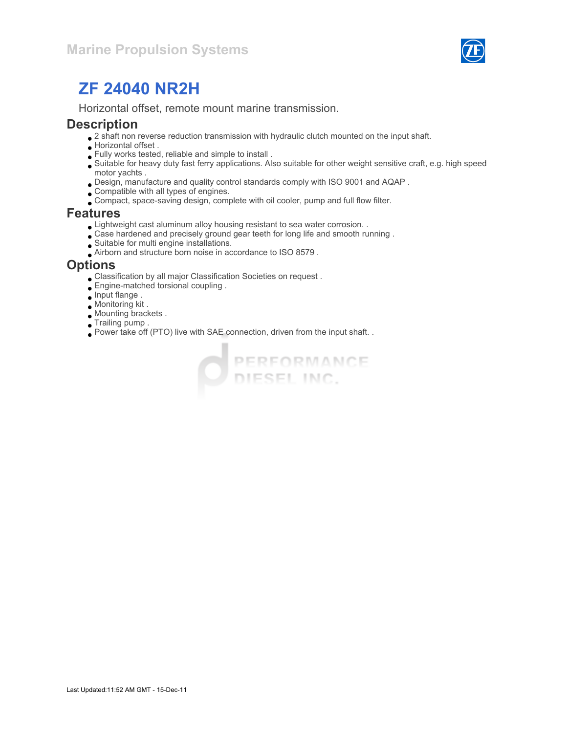

Horizontal offset, remote mount marine transmission.

#### **Description**

- $\bullet$  2 shaft non reverse reduction transmission with hydraulic clutch mounted on the input shaft.
- Horizontal offset .
- Fully works tested, reliable and simple to install .
- Suitable for heavy duty fast ferry applications. Also suitable for other weight sensitive craft, e.g. high speed motor yachts .
- Design, manufacture and quality control standards comply with ISO 9001 and AQAP .
- Compatible with all types of engines.
- Compact, space-saving design, complete with oil cooler, pump and full flow filter.

#### Features

- Lightweight cast aluminum alloy housing resistant to sea water corrosion. .
- Case hardened and precisely ground gear teeth for long life and smooth running .
- Suitable for multi engine installations.
- Airborn and structure born noise in accordance to ISO 8579 .

#### **Options**

- Classification by all major Classification Societies on request .
- Engine-matched torsional coupling .
- Input flange .
- Monitoring kit .
- Mounting brackets .
- Trailing pump .
- Power take off (PTO) live with SAE connection, driven from the input shaft. .

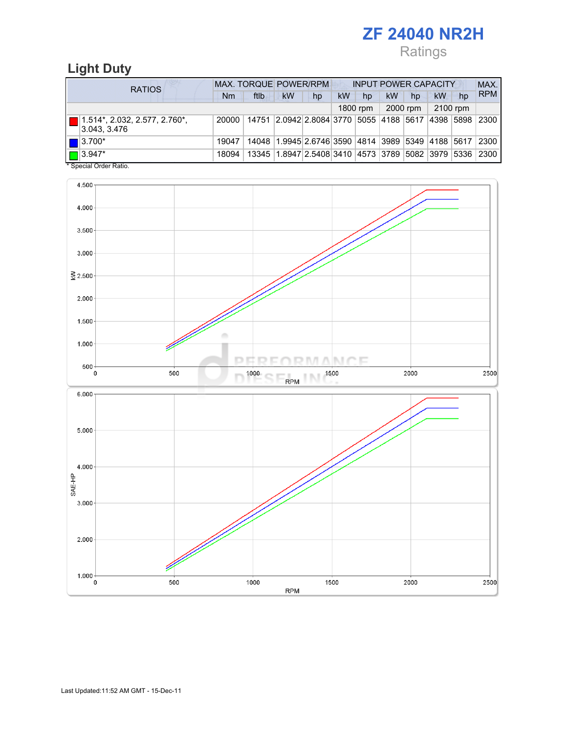Ratings

## Light Duty

| <b>RATIOS</b> |                                                     | MAX. TORQUE POWER/RPM<br><b>INPUT POWER CAPACITY</b> |                                                   |           |                                                                   |    |          |           |          |          | MAX. |            |
|---------------|-----------------------------------------------------|------------------------------------------------------|---------------------------------------------------|-----------|-------------------------------------------------------------------|----|----------|-----------|----------|----------|------|------------|
|               |                                                     | Nm                                                   | ftlb                                              | <b>kW</b> | hp                                                                | kW | hp       | <b>kW</b> | hp       | kW       | hp   | <b>RPM</b> |
|               |                                                     |                                                      |                                                   |           |                                                                   |    | 1800 rpm |           | 2000 rpm | 2100 rpm |      |            |
|               | $\Box$ 1.514*, 2.032, 2.577, 2.760*,<br>3.043.3.476 | 20000                                                | 14751 2.0942 2.8084 3770 5055 4188 5617 4398 5898 |           |                                                                   |    |          |           |          |          |      | 2300       |
|               | $\blacksquare$ 3.700*                               | 19047                                                |                                                   |           | 14048   1.9945   2.6746   3590   4814   3989   5349   4188   5617 |    |          |           |          |          |      | 2300       |
|               | $\Box$ 3.947*                                       | 18094                                                |                                                   |           | 13345 1.8947 2.5408 3410 4573 3789 5082 3979 5336                 |    |          |           |          |          |      | 2300       |

Special Order Ratio.

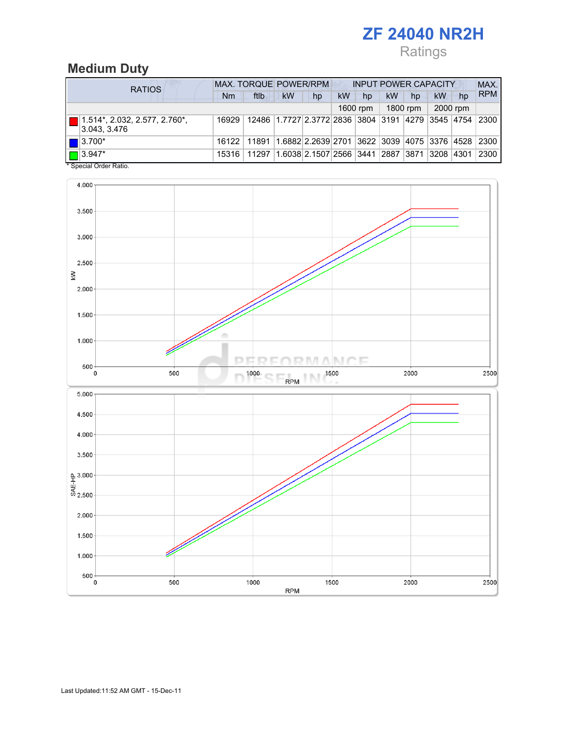# Ratings

#### Medium Duty

| <b>RATIOS</b>                                         | MAX. TORQUE POWER/RPM<br><b>INPUT POWER CAPACITY</b> |       |                                                                   |    |    |          |    |          |          |    | MAX.       |
|-------------------------------------------------------|------------------------------------------------------|-------|-------------------------------------------------------------------|----|----|----------|----|----------|----------|----|------------|
|                                                       | Nm                                                   | ftlb  | <b>kW</b>                                                         | hp | kW | hp       | kW | hp       | kW       | hp | <b>RPM</b> |
|                                                       |                                                      |       |                                                                   |    |    | 1600 rpm |    | 1800 rpm | 2000 rpm |    |            |
| $\Box$ 1.514*, 2.032, 2.577, 2.760*,<br> 3.043, 3.476 | 16929                                                |       | 12486   1.7727   2.3772   2836   3804   3191   4279   3545   4754 |    |    |          |    |          |          |    | 2300       |
| $\blacksquare$ 3.700*                                 | 16122                                                | 11891 | 1.6882 2.2639 2701 3622 3039 4075 3376 4528 2300                  |    |    |          |    |          |          |    |            |
| $\Box$ 3.947*<br>$*$ Consider Codes Definition        | 15316                                                | 11297 | 1.6038 2.1507 2566  3441  2887  3871  3208  4301                  |    |    |          |    |          |          |    | 2300       |

Special Order Ratio.

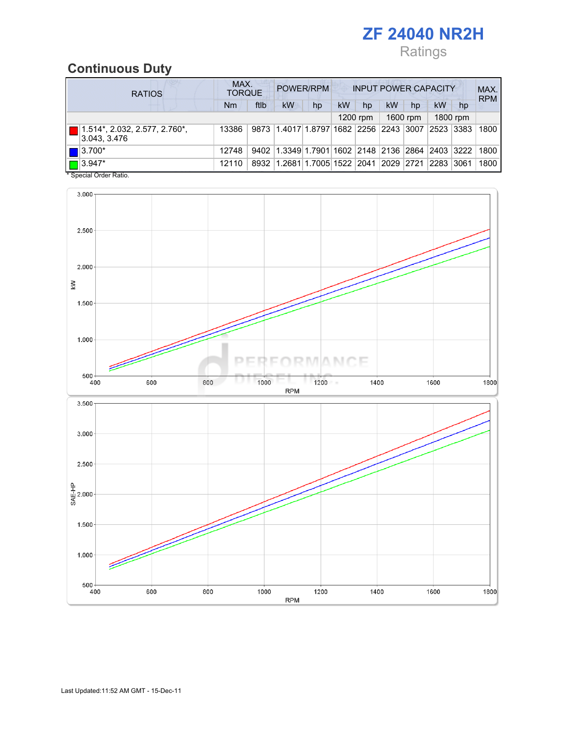## Ratings

## Continuous Duty

| <b>RATIOS</b> |                                                | MAX.<br>POWER/RPM<br><b>INPUT POWER CAPACITY</b><br><b>TORQUE</b> |      |                                                  |    |    |          |    |          |    |          |            |
|---------------|------------------------------------------------|-------------------------------------------------------------------|------|--------------------------------------------------|----|----|----------|----|----------|----|----------|------------|
|               |                                                | Nm                                                                | ftlb | kW                                               | hp | kW | hp       | kW | hp       | kW | hp       | <b>RPM</b> |
|               |                                                |                                                                   |      |                                                  |    |    | 1200 rpm |    | 1600 rpm |    | 1800 rpm |            |
|               | (1.514*, 2.032, 2.577, 2.760*,<br>3.043, 3.476 | 13386                                                             |      | 9873 1.4017 1.8797 1682 2256 2243 3007 2523 3383 |    |    |          |    |          |    |          | 1800       |
|               | $\blacksquare$ 3.700*                          | 12748                                                             |      | 9402 1.3349 1.7901 1602 2148 2136 2864 2403 3222 |    |    |          |    |          |    |          | 1800       |
|               | $\Box$ 3.947*                                  | 12110                                                             |      | 8932 1.2681 1.7005 1522 2041 2029 2721 2283      |    |    |          |    |          |    | 3061     | 1800       |

\* Special Order Ratio.

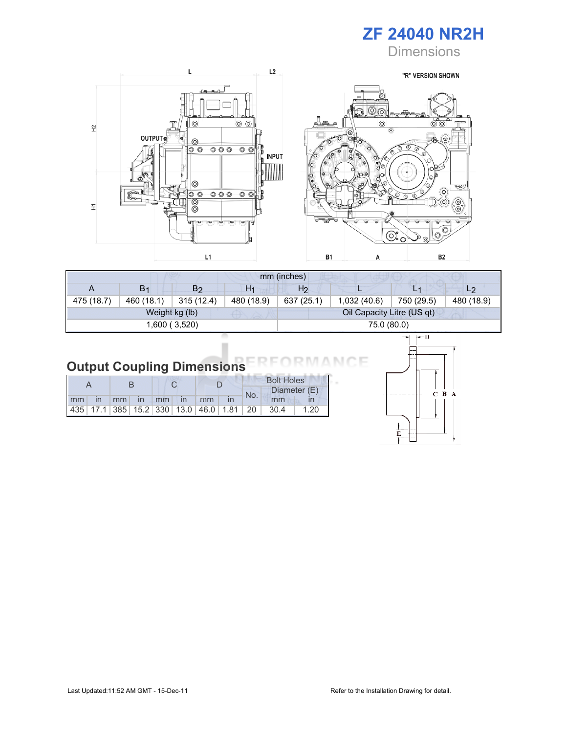

**Dimensions** 



| mm (inches) |                |                |                |                |                            |            |                |  |  |
|-------------|----------------|----------------|----------------|----------------|----------------------------|------------|----------------|--|--|
| A           | B <sub>1</sub> | B2             | H <sub>1</sub> | H <sub>2</sub> | ш                          | L1         | L <sub>2</sub> |  |  |
| 475 (18.7)  | 460 (18.1)     | 315(12.4)      | 480 (18.9)     | 637 (25.1)     | 1,032(40.6)                | 750 (29.5) | 480 (18.9)     |  |  |
|             |                | Weight kg (lb) |                |                | Oil Capacity Litre (US qt) |            |                |  |  |
|             |                | 1,600 ( 3,520) |                | 75.0 (80.0)    |                            |            |                |  |  |

#### Output Coupling Dimensions N (

|  |  |  |                      |  | <b>Bolt Holes</b> |     |                                                  |              |
|--|--|--|----------------------|--|-------------------|-----|--------------------------------------------------|--------------|
|  |  |  |                      |  |                   | No. |                                                  | Diameter (E) |
|  |  |  | mm in mm in mm in mm |  |                   |     | mm                                               |              |
|  |  |  |                      |  |                   |     | $ 435 $ 17.1 385 15.2 330 13.0 46.0 1.81 20 30.4 | 1.20         |



Е